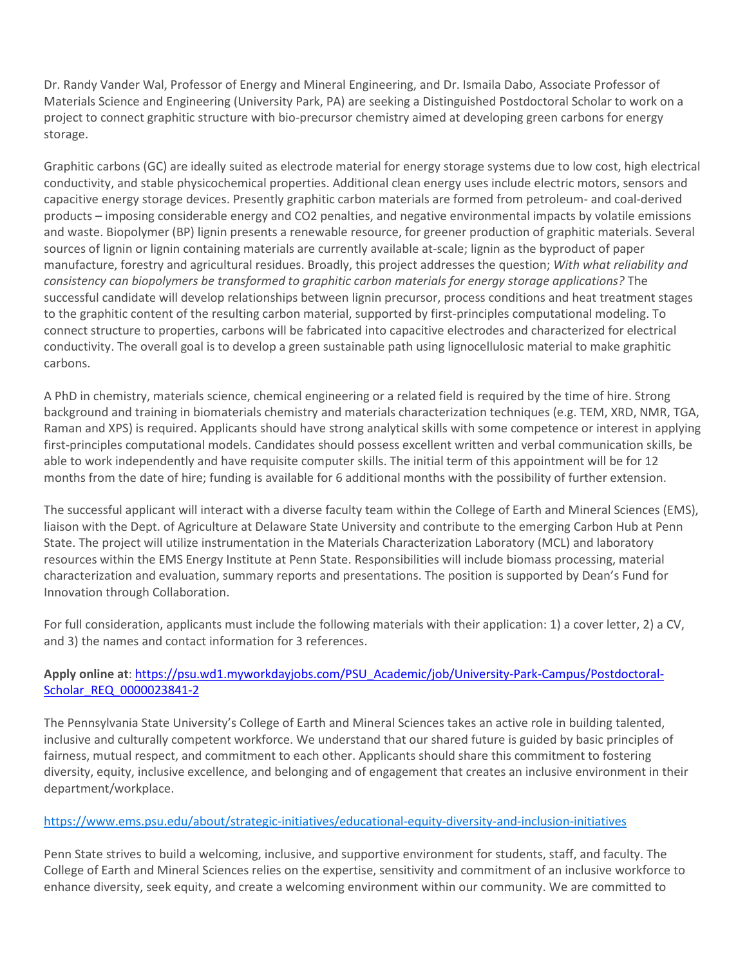Dr. Randy Vander Wal, Professor of Energy and Mineral Engineering, and Dr. Ismaila Dabo, Associate Professor of Materials Science and Engineering (University Park, PA) are seeking a Distinguished Postdoctoral Scholar to work on a project to connect graphitic structure with bio-precursor chemistry aimed at developing green carbons for energy storage.

Graphitic carbons (GC) are ideally suited as electrode material for energy storage systems due to low cost, high electrical conductivity, and stable physicochemical properties. Additional clean energy uses include electric motors, sensors and capacitive energy storage devices. Presently graphitic carbon materials are formed from petroleum- and coal-derived products – imposing considerable energy and CO2 penalties, and negative environmental impacts by volatile emissions and waste. Biopolymer (BP) lignin presents a renewable resource, for greener production of graphitic materials. Several sources of lignin or lignin containing materials are currently available at-scale; lignin as the byproduct of paper manufacture, forestry and agricultural residues. Broadly, this project addresses the question; *With what reliability and consistency can biopolymers be transformed to graphitic carbon materials for energy storage applications?* The successful candidate will develop relationships between lignin precursor, process conditions and heat treatment stages to the graphitic content of the resulting carbon material, supported by first-principles computational modeling. To connect structure to properties, carbons will be fabricated into capacitive electrodes and characterized for electrical conductivity. The overall goal is to develop a green sustainable path using lignocellulosic material to make graphitic carbons.

A PhD in chemistry, materials science, chemical engineering or a related field is required by the time of hire. Strong background and training in biomaterials chemistry and materials characterization techniques (e.g. TEM, XRD, NMR, TGA, Raman and XPS) is required. Applicants should have strong analytical skills with some competence or interest in applying first-principles computational models. Candidates should possess excellent written and verbal communication skills, be able to work independently and have requisite computer skills. The initial term of this appointment will be for 12 months from the date of hire; funding is available for 6 additional months with the possibility of further extension.

The successful applicant will interact with a diverse faculty team within the College of Earth and Mineral Sciences (EMS), liaison with the Dept. of Agriculture at Delaware State University and contribute to the emerging Carbon Hub at Penn State. The project will utilize instrumentation in the Materials Characterization Laboratory (MCL) and laboratory resources within the EMS Energy Institute at Penn State. Responsibilities will include biomass processing, material characterization and evaluation, summary reports and presentations. The position is supported by Dean's Fund for Innovation through Collaboration.

For full consideration, applicants must include the following materials with their application: 1) a cover letter, 2) a CV, and 3) the names and contact information for 3 references.

## **Apply online at**[: https://psu.wd1.myworkdayjobs.com/PSU\\_Academic/job/University-Park-Campus/Postdoctoral-](https://psu.wd1.myworkdayjobs.com/PSU_Academic/job/University-Park-Campus/Postdoctoral-Scholar_REQ_0000023841-2)[Scholar\\_REQ\\_0000023841-2](https://psu.wd1.myworkdayjobs.com/PSU_Academic/job/University-Park-Campus/Postdoctoral-Scholar_REQ_0000023841-2)

The Pennsylvania State University's College of Earth and Mineral Sciences takes an active role in building talented, inclusive and culturally competent workforce. We understand that our shared future is guided by basic principles of fairness, mutual respect, and commitment to each other. Applicants should share this commitment to fostering diversity, equity, inclusive excellence, and belonging and of engagement that creates an inclusive environment in their department/workplace.

## <https://www.ems.psu.edu/about/strategic-initiatives/educational-equity-diversity-and-inclusion-initiatives>

Penn State strives to build a welcoming, inclusive, and supportive environment for students, staff, and faculty. The College of Earth and Mineral Sciences relies on the expertise, sensitivity and commitment of an inclusive workforce to enhance diversity, seek equity, and create a welcoming environment within our community. We are committed to